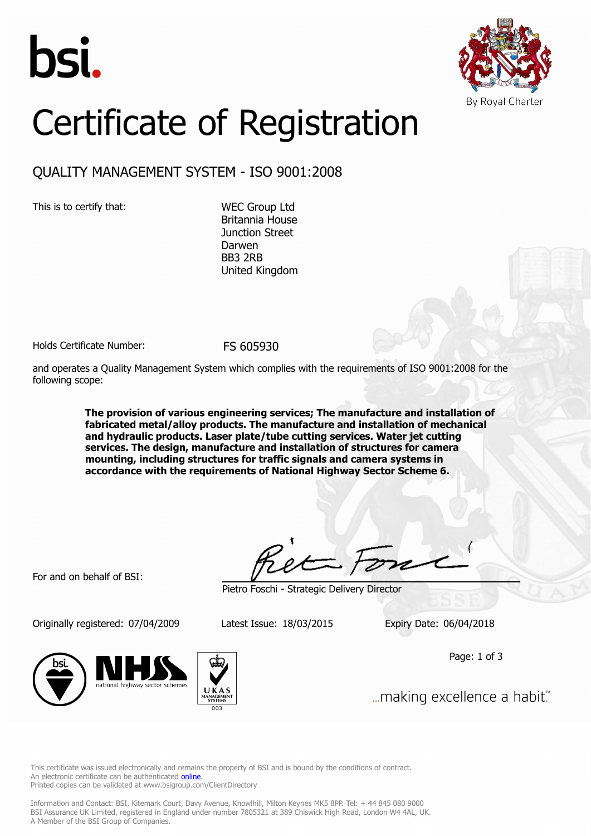



## Certificate of Registration

## QUALITY MANAGEMENT SYSTEM - ISO 9001:2008

This is to certify that: WEC Group Ltd

Britannia House Junction Street Darwen BB3 2RB United Kingdom

Holds Certificate Number: FS 605930

and operates a Quality Management System which complies with the requirements of ISO 9001:2008 for the following scope:

> **The provision of various engineering services; The manufacture and installation of fabricated metal/alloy products. The manufacture and installation of mechanical and hydraulic products. Laser plate/tube cutting services. Water jet cutting services. The design, manufacture and installation of structures for camera mounting, including structures for traffic signals and camera systems in accordance with the requirements of National Highway Sector Scheme 6.**

For and on behalf of BSI:

Originally registered: 07/04/2009 Latest Issue: 18/03/2015 Expiry Date: 06/04/2018



Pietro Foschi - Strategic Delivery Director

Page: 1 of 3







... making excellence a habit."

This certificate was issued electronically and remains the property of BSI and is bound by the conditions of contract. An electronic certificate can be authenticated **[online](https://pgplus.bsigroup.com/CertificateValidation/CertificateValidator.aspx?CertificateNumber=FS+605930&ReIssueDate=18%2f03%2f2015&Template=uk)**. Printed copies can be validated at www.bsigroup.com/ClientDirectory

Information and Contact: BSI, Kitemark Court, Davy Avenue, Knowlhill, Milton Keynes MK5 8PP. Tel: + 44 845 080 9000 BSI Assurance UK Limited, registered in England under number 7805321 at 389 Chiswick High Road, London W4 4AL, UK. A Member of the BSI Group of Companies.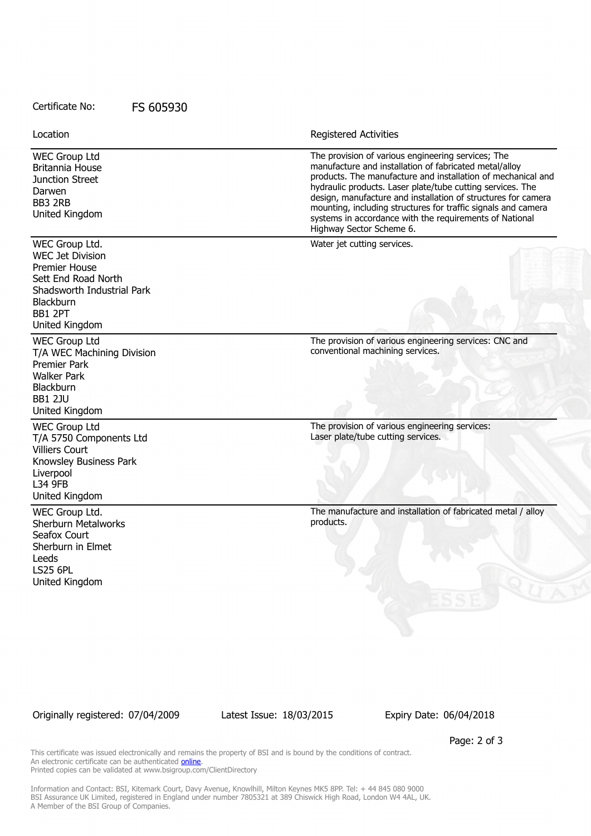## Certificate No: FS 605930

| Location                                                                                                                                                                | Registered Activities                                                                                                                                                                                                                                                                                                                                                                                                                                               |
|-------------------------------------------------------------------------------------------------------------------------------------------------------------------------|---------------------------------------------------------------------------------------------------------------------------------------------------------------------------------------------------------------------------------------------------------------------------------------------------------------------------------------------------------------------------------------------------------------------------------------------------------------------|
| <b>WEC Group Ltd</b><br>Britannia House<br>Junction Street<br>Darwen<br>BB3 2RB<br>United Kingdom                                                                       | The provision of various engineering services; The<br>manufacture and installation of fabricated metal/alloy<br>products. The manufacture and installation of mechanical and<br>hydraulic products. Laser plate/tube cutting services. The<br>design, manufacture and installation of structures for camera<br>mounting, including structures for traffic signals and camera<br>systems in accordance with the requirements of National<br>Highway Sector Scheme 6. |
| WEC Group Ltd.<br><b>WEC Jet Division</b><br><b>Premier House</b><br>Sett End Road North<br>Shadsworth Industrial Park<br><b>Blackburn</b><br>BB1 2PT<br>United Kingdom | Water jet cutting services.                                                                                                                                                                                                                                                                                                                                                                                                                                         |
| <b>WEC Group Ltd</b><br>T/A WEC Machining Division<br><b>Premier Park</b><br><b>Walker Park</b><br>Blackburn<br><b>BB1 2JU</b><br>United Kingdom                        | The provision of various engineering services: CNC and<br>conventional machining services.                                                                                                                                                                                                                                                                                                                                                                          |
| <b>WEC Group Ltd</b><br>T/A 5750 Components Ltd<br><b>Villiers Court</b><br>Knowsley Business Park<br>Liverpool<br>L34 9FB<br>United Kingdom                            | The provision of various engineering services:<br>Laser plate/tube cutting services.                                                                                                                                                                                                                                                                                                                                                                                |
| WEC Group Ltd.<br><b>Sherburn Metalworks</b><br>Seafox Court<br>Sherburn in Elmet<br>Leeds<br><b>LS25 6PL</b><br>United Kingdom                                         | The manufacture and installation of fabricated metal / alloy<br>products.                                                                                                                                                                                                                                                                                                                                                                                           |

Originally registered: 07/04/2009 Latest Issue: 18/03/2015 Expiry Date: 06/04/2018

Page: 2 of 3

This certificate was issued electronically and remains the property of BSI and is bound by the conditions of contract. An electronic certificate can be authenticated **[online](https://pgplus.bsigroup.com/CertificateValidation/CertificateValidator.aspx?CertificateNumber=FS+605930&ReIssueDate=18%2f03%2f2015&Template=uk)**. Printed copies can be validated at www.bsigroup.com/ClientDirectory

Information and Contact: BSI, Kitemark Court, Davy Avenue, Knowlhill, Milton Keynes MK5 8PP. Tel: + 44 845 080 9000 BSI Assurance UK Limited, registered in England under number 7805321 at 389 Chiswick High Road, London W4 4AL, UK. A Member of the BSI Group of Companies.